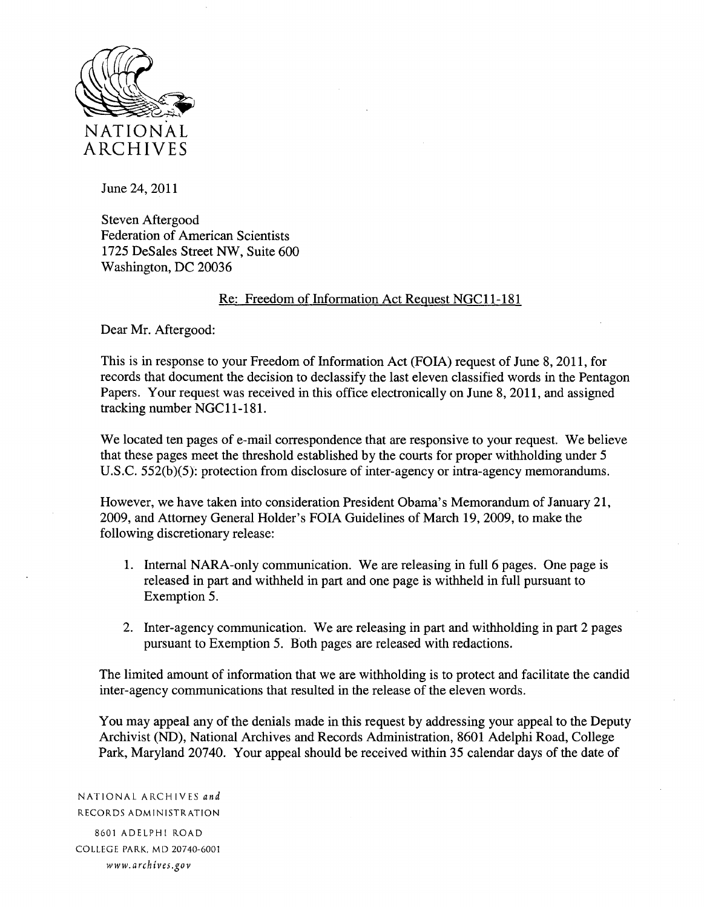

June 24, 2011

Steven Aftergood Federation of American Scientists 1725 DeSales Street NW, Suite 600 Washington, DC 20036

### Re: Freedom of Information Act Request NGC 11-181

Dear Mr. Aftergood:

This is in response to your Freedom of Information Act (FOIA) request of June 8, 2011, for records that document the decision to declassify the last eleven classified words in the Pentagon Papers. Your request was received in this office electronically on June 8, 2011, and assigned tracking number NGCll-18I.

We located ten pages of e-mail correspondence that are responsive to your request. We believe that these pages meet the threshold established by the courts for proper withholding under 5 U.S.C. 552(b)(5): protection from disclosure of inter-agency or intra-agency memorandums.

However, we have taken into consideration President Obama's Memorandum of January 21, 2009, and Attorney General Holder's FOIA Guidelines of March 19,2009, to make the following discretionary release:

- 1. Internal NARA-only communication. We are releasing in full 6 pages. One page is released in part and withheld in part and one page is withheld in full pursuant to Exemption 5.
- 2. Inter-agency communication. We are releasing in part and withholding in part 2 pages pursuant to Exemption 5. Both pages are released with redactions.

The limited amount of information that we are withholding is to protect and facilitate the candid inter-agency communications that resulted in the release of the eleven words.

You may appeal any of the denials made in this request by addressing your appeal to the Deputy Archivist (ND), National Archives and Records Administration, 8601 Adelphi Road, College Park, Maryland 20740. Your appeal should be received within 35 calendar days of the date of

NATIONAL ARCHIVES *and*  RECORDS ADMINISTRATION 8601 ADELPHI ROAD

COLLEGE PARK. MD 20740-6001 *www.archives.gov*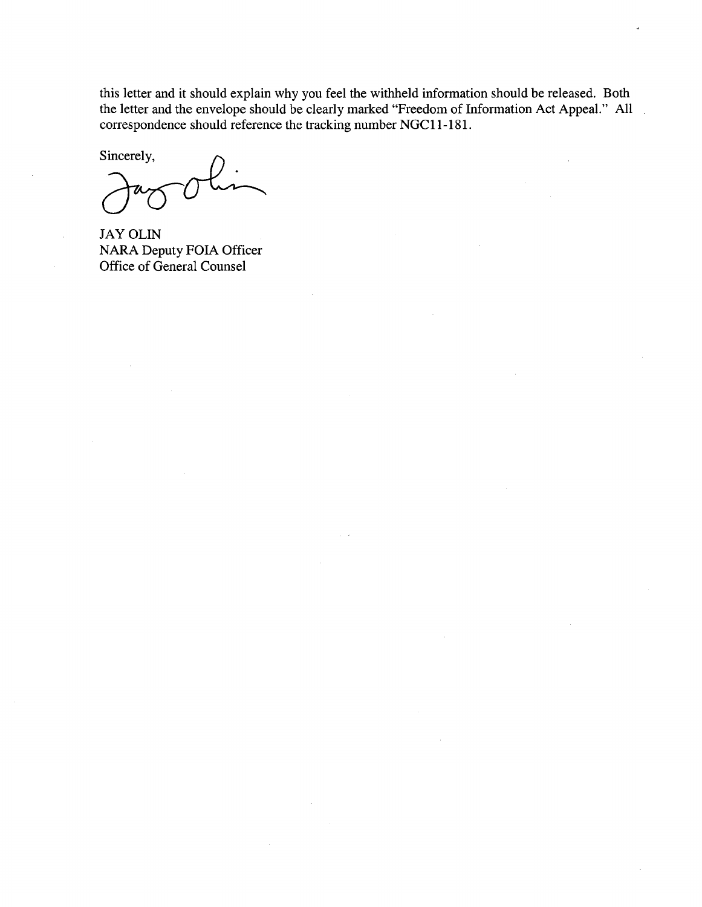this letter and it should explain why you feel the withheld information should be released. Both the letter and the envelope should be clearly marked "Freedom of Information Act Appeal." All correspondence should reference the tracking number NGCll-181.

sincerely,<br>Jag Olin

JAY OLIN NARA Deputy FOIA Officer Office of General Counsel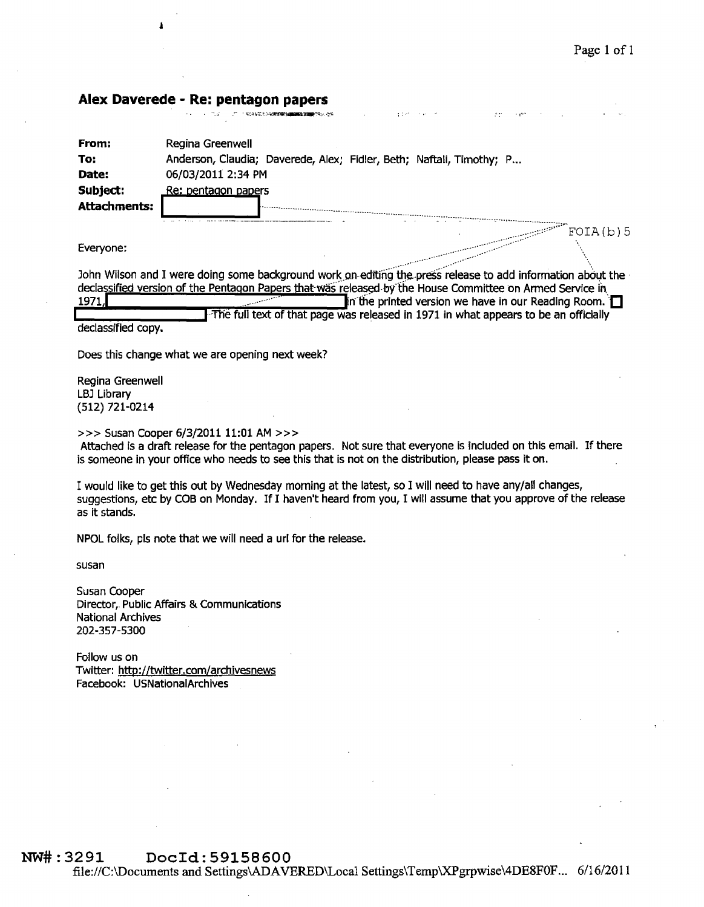## **Alex Daverede - Re: pentagon papers**

| From:        | Regina Greenwell                                                     |
|--------------|----------------------------------------------------------------------|
| To:          | Anderson, Claudia; Daverede, Alex; Fidler, Beth; Naftali, Timothy; P |
| Date:        | 06/03/2011 2:34 PM                                                   |
| Subject:     | Re: pentagon papers                                                  |
| Attachments: |                                                                      |
|              |                                                                      |
|              | FOIA(b)5                                                             |

<sup>~</sup>\_."

,.-'- ",-

....

Everyone: .. ~::-./--

John Wilson and I were doing some background work on editing the press release to add information about the declassified version of the Pentagon Papers that was released by the House Committee on Armed Service in 1971.  $\blacksquare$  in the printed version we have in our Reading Room.  $\blacksquare$ The full text of that page was released in 1971 in what appears to be an officially

declassified copy.

Does this change what we are opening next week?

Regina Greenwell LBJ Library (512) 721-0214

>>> Susan Cooper 6/3/2011 11:01 AM >>>

Attached is a draft release for the pentagon papers. Not sure that everyone is included on this email. If there is someone in your office who needs to see this that is not on the distribution, please pass it on.

I would like to get this out by Wednesday morning at the latest, so I will need to have any/all changes, suggestions, etc by COB on Monday. If I haven't heard from you, I will assume that you approve of the release as it stands.

NPOL folks, pis note that we will need a uri for the release.

susan

Susan Cooper Director,. Public Affairs & Communications National Archives 202-357-5300

Follow us on Twitter: http://twitter.com/archivesnews Facebook: U5NationaiArchives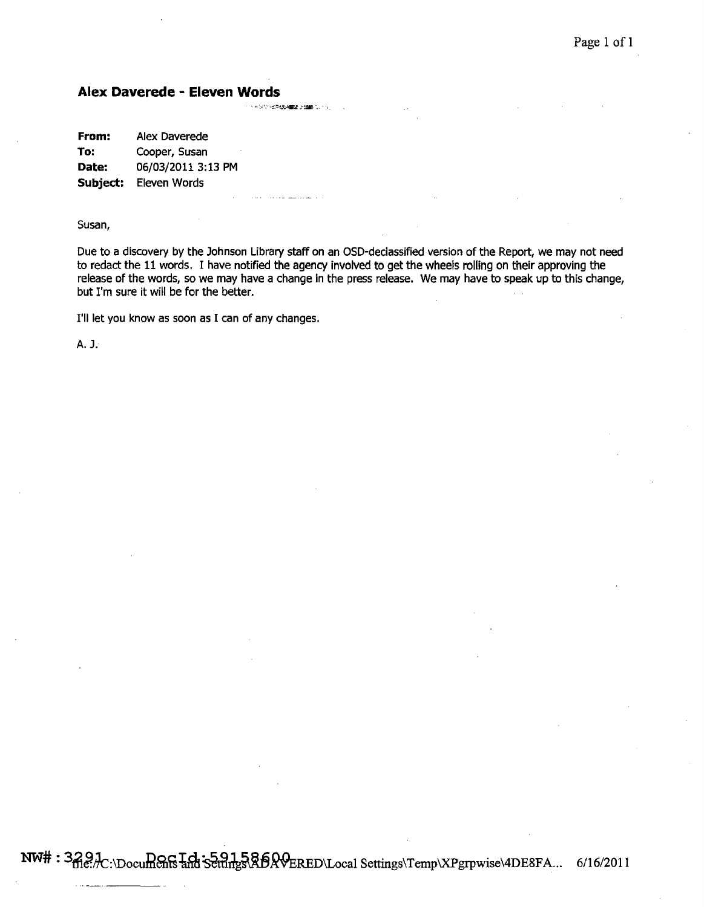# **Alex Daverede - Eleven Words**

**From:** Alex Daverede **To:** Cooper, Susan Date: 06/03/2011 3:13 PM **Subject:** Eleven Words

Susan,

Due to a discovery by the Johnson Library staff on an OSD-declassified version of the Report, we may not need to redact the 11 words. I have notified the agency involved to get the wheels rolling on their approving the release of the words, so we may have a change in the press release. We may have to speak up to this change, but I'm sure it will be for the better.

I'll let you know as soon as I can of any changes.

A. J.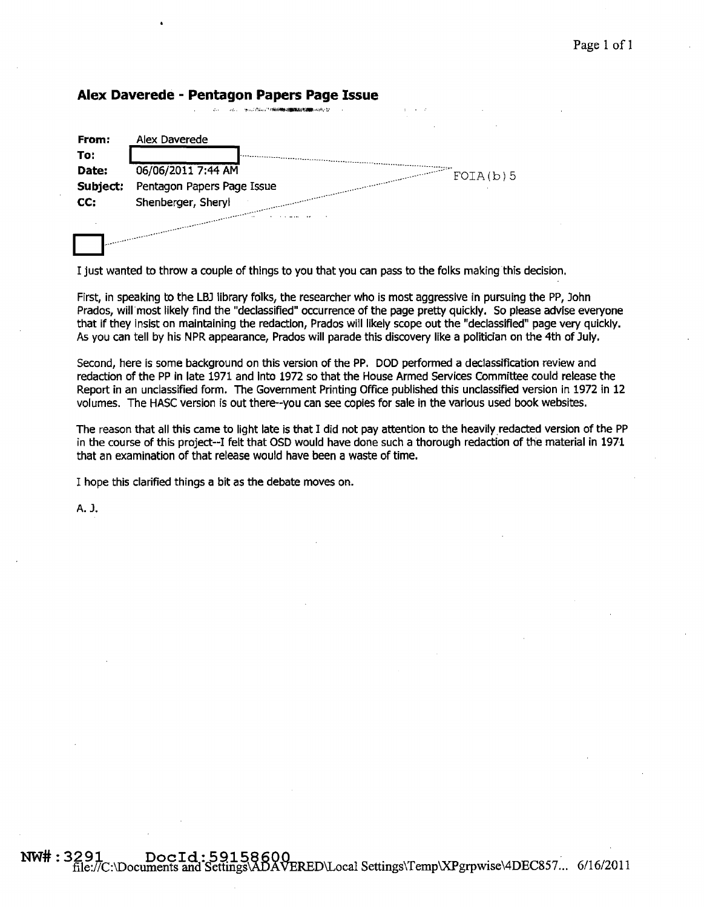| Alex Daverede - Pentagon Papers Page Issue |  |  |  |  |
|--------------------------------------------|--|--|--|--|
|--------------------------------------------|--|--|--|--|

| From:    | Alex Daverede                  |
|----------|--------------------------------|
| To:      |                                |
| Date:    | 06/06/2011 7:44 AM<br>FOIA(b)5 |
| Subject: | Pentagon Papers Page Issue     |
| CC.      | Shenberger, Sheryl             |
|          |                                |

I just wanted to throw a couple of things to you that you can pass to the folks making this decision.

First, in speaking to the LBJ library folks, the researcher who is most aggressive in pursuing the PP, John Prados, will most likely find the "declassified" occurrence of the page pretty quickly. So please advise everyone that If they insist on maintaining the redaction, Prados will likely scope out the "declassified" page very quickly. As you can tell by his NPR appearance, Prados will parade this discovery like a politician on the 4th of July.

Second, here is some background on this version of the PP. DOD performed a declassification review and redaction of the PP in late 1971 and Into 1972 so that the House Armed Services Committee could release the Report in an unclassified form. The Government Printing Office published this unclassified version in 1972 in 12 volumes. The HASC version is out there--you can see copies for sale in the various used book websites.

The reason that all this came to light late is that I did not pay attention to the heavily.redacted version of the PP in the course of this project--I felt that OSD would have done such a thorough redaction of the material in 1971 that an examination of that release would have been a waste of time.

I hope this clarified things a bit as the debate moves on.

A. J.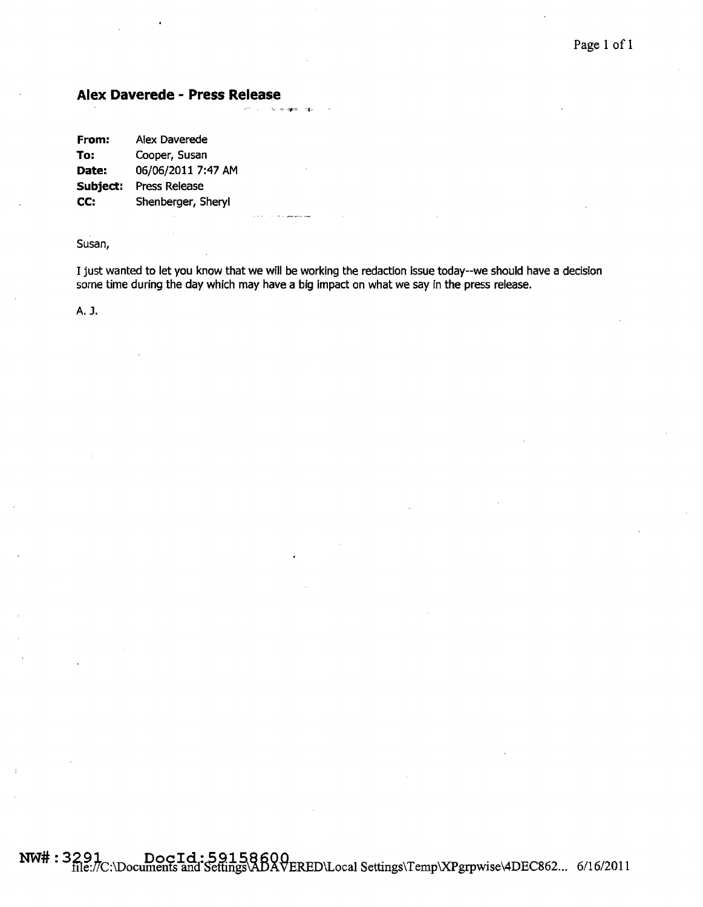## **Alex Daverede - Press Release**

| From:    | Alex Daverede        |
|----------|----------------------|
| To:      | Cooper, Susan        |
| Date:    | 06/06/2011 7:47 AM   |
| Subject: | <b>Press Release</b> |
| CC:      | Shenberger, Sheryl   |

#### Susan,

I just wanted to let you know that we will be working the redaction issue today--we should have a decision some time during the day which may have a big Impact on what we say in the press release.

A. J.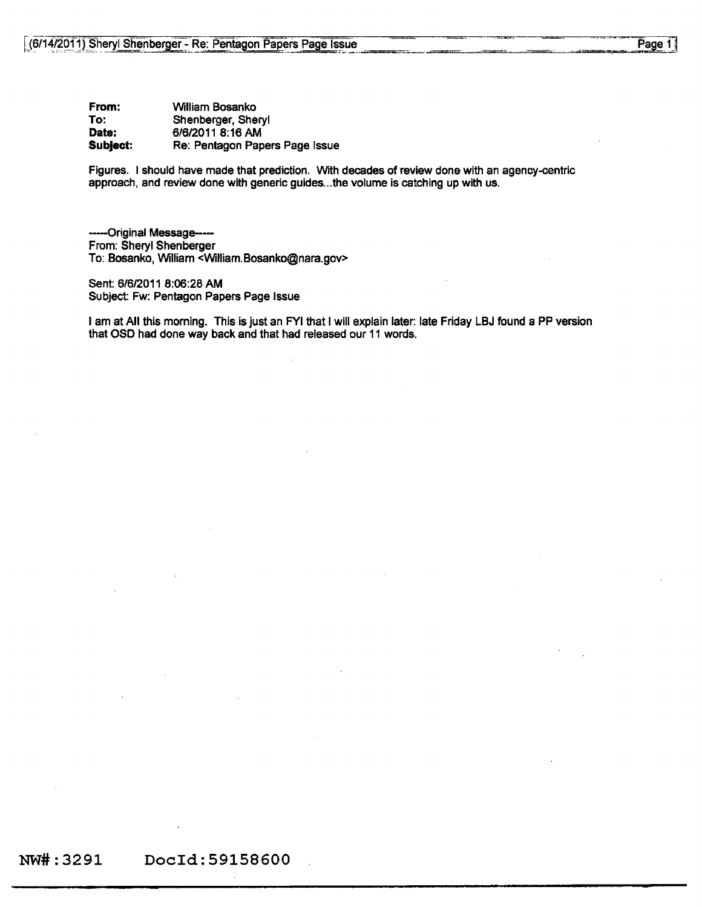From: To: Date: Subject: William Bosanko Shenberger, Sheryl 6/6/2011 8:16 AM Re: Pentagon Papers Page Issue

Figures. I should have made that prediction. With decades of review done with an agency-centric approach, and review done with generic guides... the volume is catching up with us.

------Original Message-----From: Sheryl Shenberger To: Bosanko, William <William.Bosanko@nara.gov>

Sent: 6/612011 8:06:28 AM Subject Fw: Pentagon Papers Page Issue

I am at All this morning. This is just an FYI that I will explain later: late Friday LBJ found a PP version that OSD had done way back and that had released our 11 words.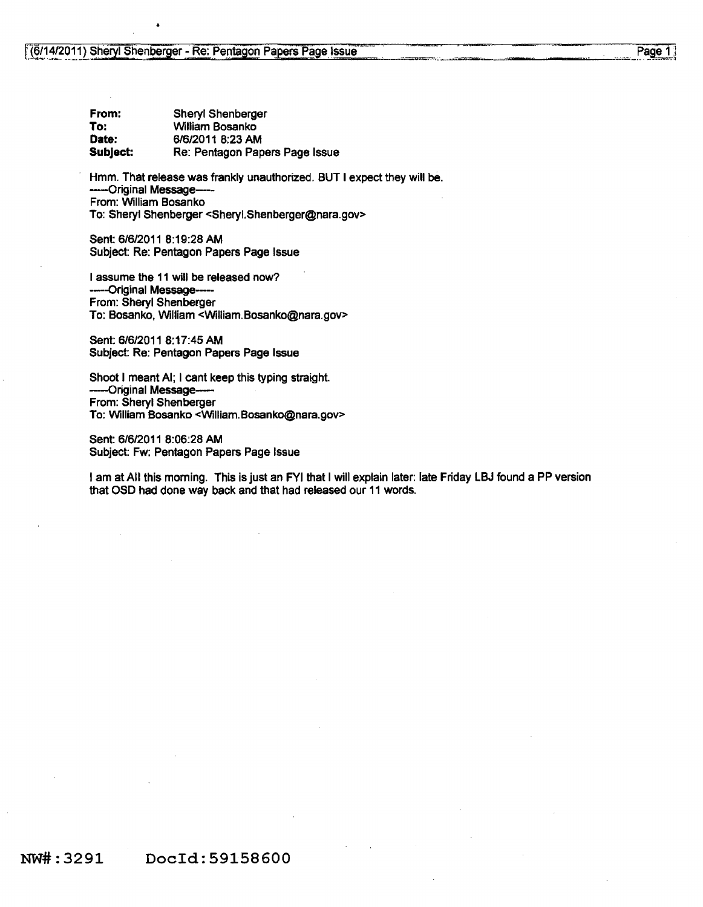| From:    | Sheryl Shenberger              |
|----------|--------------------------------|
| To:      | William Bosanko                |
| Date:    | 6/6/2011 8:23 AM               |
| Subject: | Re: Pentagon Papers Page Issue |

Hmm. That release was frankly unauthorized. BUT I expect they will be. --Original Message--- From: William Bosanko To: Sheryl Shenberger <SheryI.Shenberger@nara.gov>

Sent 6/612011 8:19:28 AM Subject: Re: Pentagon Papers Page Issue

I assume the 11 will be released now? ------Original Message-----From: Sheryl Shenberger To: Bosanko, William <William.Bosanko@nara.gov>

Sent: 6/6/2011 8: 17:45 AM Subject: Re: Pentagon Papers Page Issue

Shoot I meant AI; I cant keep this typing straight. --Original Message-From: Sheryl Shenberger To: William Bosanko <William.Bosanko@nara.gov>

Sent: 6/6/2011 8:06:28 AM Subject: Fw: Pentagon Papers Page Issue

I am at All this morning. This is just an FYI that I will explain later: late Friday LBJ found a PP version that OSO had done way back and that had released our 11 words.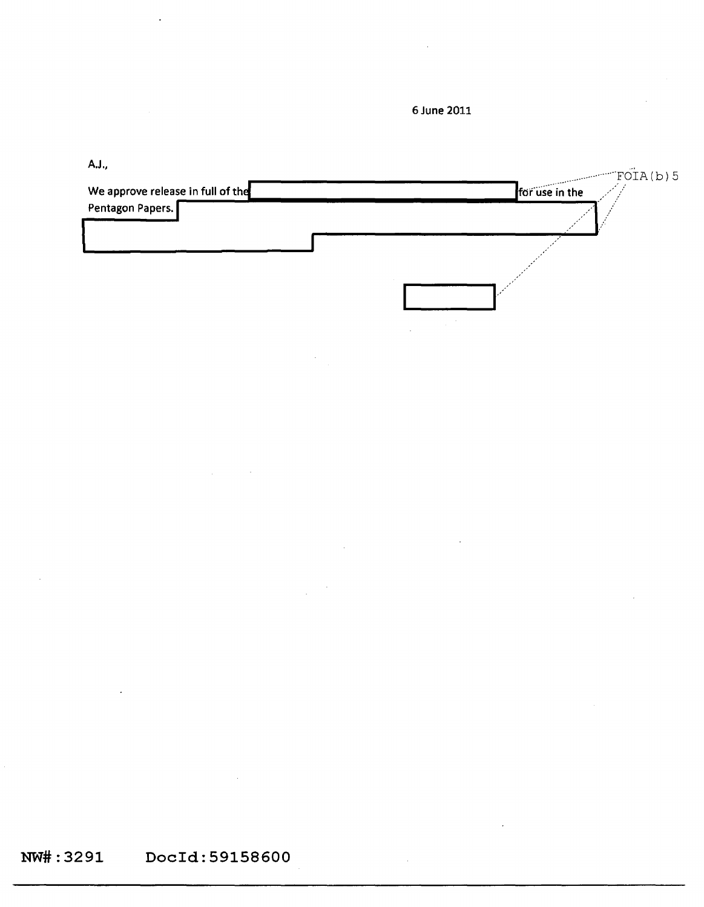**6 June 2011** 

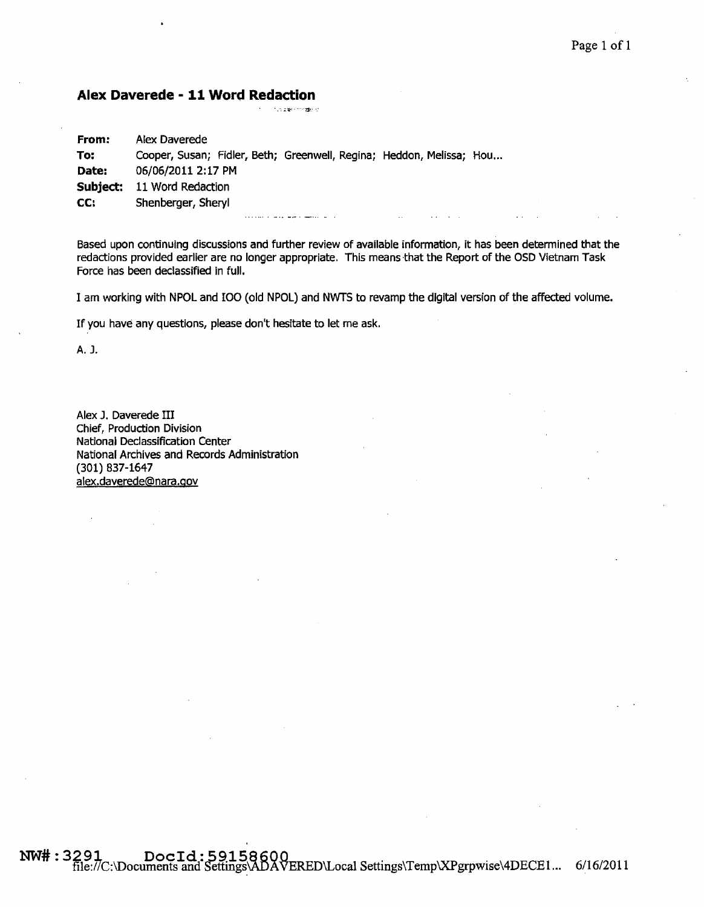### **Alex Daverede - 11 Word Redaction**

• • ••• ;.!Ii": ..... :r.p.:.:

| From: | Alex Daverede                                                        |  |
|-------|----------------------------------------------------------------------|--|
| To:   | Cooper, Susan; Fidler, Beth; Greenwell, Regina; Heddon, Melissa; Hou |  |
| Date: | 06/06/2011 2:17 PM                                                   |  |
|       | Subject: 11 Word Redaction                                           |  |
| CC.   | Shenberger, Sheryl                                                   |  |

Based upon continuing discussions and further review of available information, it has been determined that the redactions provided earlier are no longer appropriate. This means that the Report of the OSD Vietnam Task Force has been declassified in full.

I am working with NPOL and IOO (old NPOL) and NWTS to revamp the digital version of the affected volume.

If you have any questions, please don't hesitate to let me ask.

A. J.

Alex J. Daverede III Chief, Production Division National Declassification Center National Archives and Records Administration (301) 837-1647 alex.daverede@nara.gov